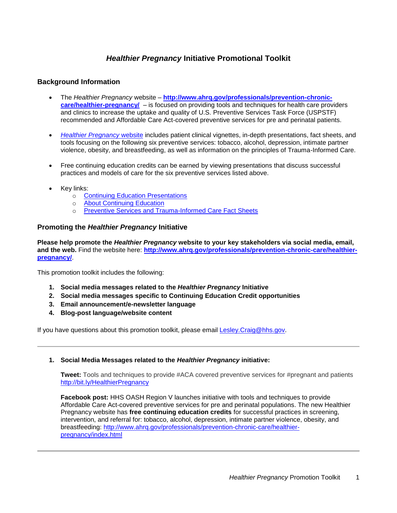# *Healthier Pregnancy* **Initiative Promotional Toolkit**

# **Background Information**

- The *Healthier Pregnancy* website http://www.ahrg.gov/professionals/prevention-chronic**[care/healthier-pregnancy/](http://www.ahrq.gov/professionals/prevention-chronic-care/healthier-pregnancy/)** – is focused on providing tools and techniques for health care providers and clinics to increase the uptake and quality of U.S. Preventive Services Task Force (USPSTF) recommended and Affordable Care Act-covered preventive services for pre and perinatal patients.
- *[Healthier Pregnancy](http://www.ahrq.gov/professionals/prevention-chronic-care/healthier-pregnancy/index.html)* website includes patient clinical vignettes, in-depth presentations, fact sheets, and tools focusing on the following six preventive services: tobacco, alcohol, depression, intimate partner violence, obesity, and breastfeeding, as well as information on the principles of Trauma-Informed Care.
- Free continuing education credits can be earned by viewing presentations that discuss successful practices and models of care for the six preventive services listed above.
- Key links:
	- o [Continuing Education Presentations](http://www.ahrq.gov/professionals/prevention-chronic-care/healthier-pregnancy/tools/index.html)
	- o [About Continuing Education](http://www.ahrq.gov/professionals/prevention-chronic-care/healthier-pregnancy/aboutce/index.html)
	- o [Preventive Services and Trauma-Informed Care Fact Sheets](http://www.ahrq.gov/professionals/prevention-chronic-care/healthier-pregnancy/preventive/index.html)

# **Promoting the** *Healthier Pregnancy* **Initiative**

**Please help promote the** *Healthier Pregnancy* **website to your key stakeholders via social media, email, and the web.** Find the website here: **[http://www.ahrq.gov/professionals/prevention-chronic-care/healthier](http://www.ahrq.gov/professionals/prevention-chronic-care/healthier-pregnancy/)[pregnancy/](http://www.ahrq.gov/professionals/prevention-chronic-care/healthier-pregnancy/)**.

This promotion toolkit includes the following:

- **1. Social media messages related to the** *Healthier Pregnancy* **Initiative**
- **2. Social media messages specific to Continuing Education Credit opportunities**
- **3. Email announcement/e-newsletter language**
- **4. Blog-post language/website content**

If you have questions about this promotion toolkit, please email [Lesley.Craig@hhs.gov.](mailto:Lesley.Craig@hhs.gov)

## **1. Social Media Messages related to the** *Healthier Pregnancy* **initiative:**

**Tweet:** Tools and techniques to provide #ACA covered preventive services for #pregnant and patients <http://bit.ly/HealthierPregnancy>

**Facebook post:** HHS OASH Region V launches initiative with tools and techniques to provide Affordable Care Act-covered preventive services for pre and perinatal populations. The new Healthier Pregnancy website has **free continuing education credits** for successful practices in screening, intervention, and referral for: tobacco, alcohol, depression, intimate partner violence, obesity, and breastfeeding: [http://www.ahrq.gov/professionals/prevention-chronic-care/healthier](http://www.ahrq.gov/professionals/prevention-chronic-care/healthier-pregnancy/index.html)[pregnancy/index.html](http://www.ahrq.gov/professionals/prevention-chronic-care/healthier-pregnancy/index.html)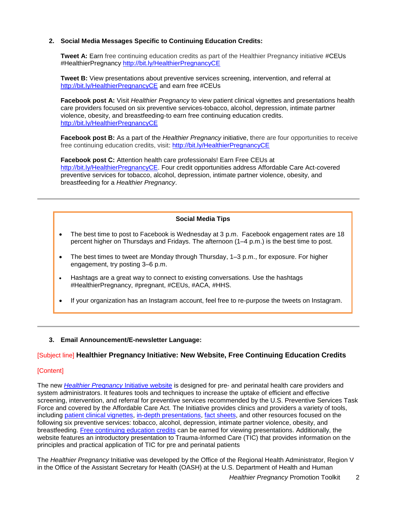## **2. Social Media Messages Specific to Continuing Education Credits:**

**Tweet A:** Earn free continuing education credits as part of the Healthier Pregnancy initiative #CEUs #HealthierPregnancy<http://bit.ly/HealthierPregnancyCE>

**Tweet B:** View presentations about preventive services screening, intervention, and referral at <http://bit.ly/HealthierPregnancyCE> and earn free #CEUs

**Facebook post A:** Visit *Healthier Pregnancy* to view patient clinical vignettes and presentations health care providers focused on six preventive services-tobacco, alcohol, depression, intimate partner violence, obesity, and breastfeeding-to earn free continuing education credits. <http://bit.ly/HealthierPregnancyCE>

**Facebook post B:** As a part of the *Healthier Pregnancy* initiative, there are four opportunities to receive free continuing education credits, visit:<http://bit.ly/HealthierPregnancyCE>

**Facebook post C:** Attention health care professionals! Earn Free CEUs at [http://bit.ly/HealthierPregnancyCE.](http://bit.ly/HealthierPregnancyCE) Four credit opportunities address Affordable Care Act-covered preventive services for tobacco, alcohol, depression, intimate partner violence, obesity, and breastfeeding for a *Healthier Pregnancy*.

## **Social Media Tips**

- The best time to post to Facebook is Wednesday at 3 p.m. Facebook engagement rates are 18 percent higher on Thursdays and Fridays. The afternoon (1–4 p.m.) is the best time to post.
- The best times to tweet are Monday through Thursday, 1–3 p.m., for exposure. For higher engagement, try posting 3–6 p.m.
- Hashtags are a great way to connect to existing conversations. Use the hashtags #HealthierPregnancy, #pregnant, #CEUs, #ACA, #HHS.
- If your organization has an Instagram account, feel free to re-purpose the tweets on Instagram.
- **3. Email Announcement/E-newsletter Language:**

## [Subject line] **Healthier Pregnancy Initiative: New Website, Free Continuing Education Credits**

#### [Content]

The new *[Healthier Pregnancy](http://www.ahrq.gov/professionals/prevention-chronic-care/healthier-pregnancy/tools/index.html)* Initiative website is designed for pre- and perinatal health care providers and system administrators. It features tools and techniques to increase the uptake of efficient and effective screening, intervention, and referral for preventive services recommended by the U.S. Preventive Services Task Force and covered by the Affordable Care Act. The Initiative provides clinics and providers a variety of tools, including [patient clinical vignettes, in-depth presentations,](http://www.ahrq.gov/professionals/prevention-chronic-care/healthier-pregnancy/tools/index.html) [fact sheets,](http://www.ahrq.gov/professionals/prevention-chronic-care/healthier-pregnancy/preventive/index.html) and other resources focused on the following six preventive services: tobacco, alcohol, depression, intimate partner violence, obesity, and breastfeeding. [Free continuing education credits](http://www.ahrq.gov/professionals/prevention-chronic-care/healthier-pregnancy/aboutce/index.html) can be earned for viewing presentations. Additionally, the website features an introductory presentation to Trauma-Informed Care (TIC) that provides information on the principles and practical application of TIC for pre and perinatal patients

The *Healthier Pregnancy* Initiative was developed by the Office of the Regional Health Administrator, Region V in the Office of the Assistant Secretary for Health (OASH) at the U.S. Department of Health and Human